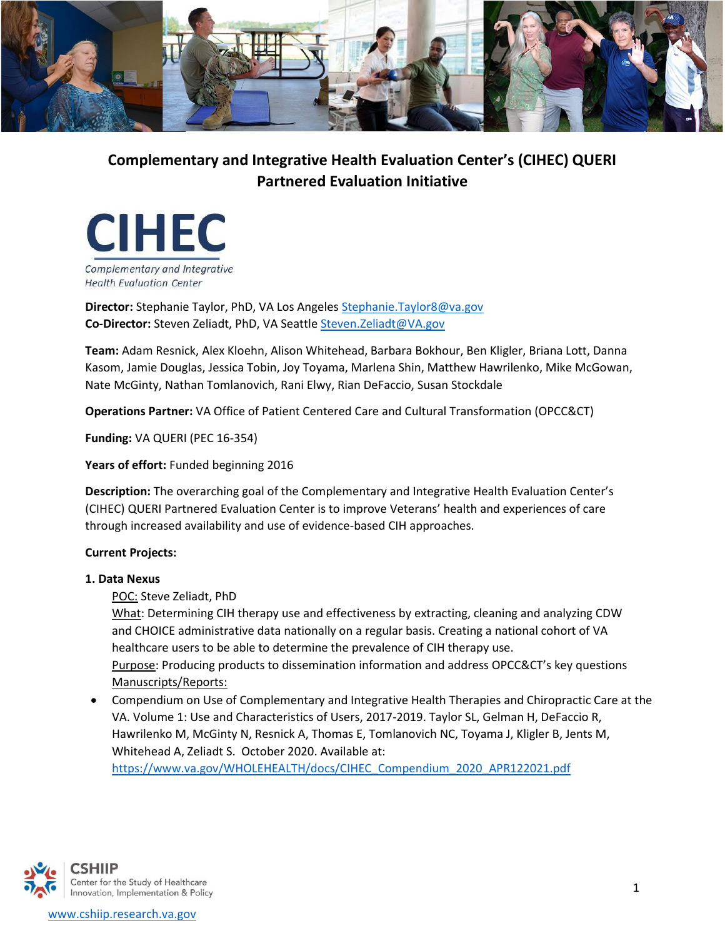

# **Complementary and Integrative Health Evaluation Center's (CIHEC) QUERI Partnered Evaluation Initiative**



**Director:** Stephanie Taylor, PhD, VA Los Angele[s Stephanie.Taylor8@va.gov](mailto:Stephanie.Taylor8@va.gov) **Co-Director:** Steven Zeliadt, PhD, VA Seattl[e Steven.Zeliadt@VA.gov](mailto:Steven.Zeliadt@VA.gov)

**Team:** Adam Resnick, Alex Kloehn, Alison Whitehead, Barbara Bokhour, Ben Kligler, Briana Lott, Danna Kasom, Jamie Douglas, Jessica Tobin, Joy Toyama, Marlena Shin, Matthew Hawrilenko, Mike McGowan, Nate McGinty, Nathan Tomlanovich, Rani Elwy, Rian DeFaccio, Susan Stockdale

**Operations Partner:** VA Office of Patient Centered Care and Cultural Transformation (OPCC&CT)

**Funding:** VA QUERI (PEC 16-354)

Years of effort: Funded beginning 2016

**Description:** The overarching goal of the Complementary and Integrative Health Evaluation Center's (CIHEC) QUERI Partnered Evaluation Center is to improve Veterans' health and experiences of care through increased availability and use of evidence-based CIH approaches.

## **Current Projects:**

#### **1. Data Nexus**

POC: Steve Zeliadt, PhD

What: Determining CIH therapy use and effectiveness by extracting, cleaning and analyzing CDW and CHOICE administrative data nationally on a regular basis. Creating a national cohort of VA healthcare users to be able to determine the prevalence of CIH therapy use. Purpose: Producing products to dissemination information and address OPCC&CT's key questions Manuscripts/Reports:

• Compendium on Use of Complementary and Integrative Health Therapies and Chiropractic Care at the VA. Volume 1: Use and Characteristics of Users, 2017-2019. Taylor SL, Gelman H, DeFaccio R, Hawrilenko M, McGinty N, Resnick A, Thomas E[, Tomlanovich](mailto:Tomlanovich@va.gov) NC, Toyama J, Kligler B, Jents M, Whitehead A, Zeliadt S. October 2020. Available at:

[https://www.va.gov/WHOLEHEALTH/docs/CIHEC\\_Compendium\\_2020\\_APR122021.pdf](https://www.va.gov/WHOLEHEALTH/docs/CIHEC_Compendium_2020_APR122021.pdf)

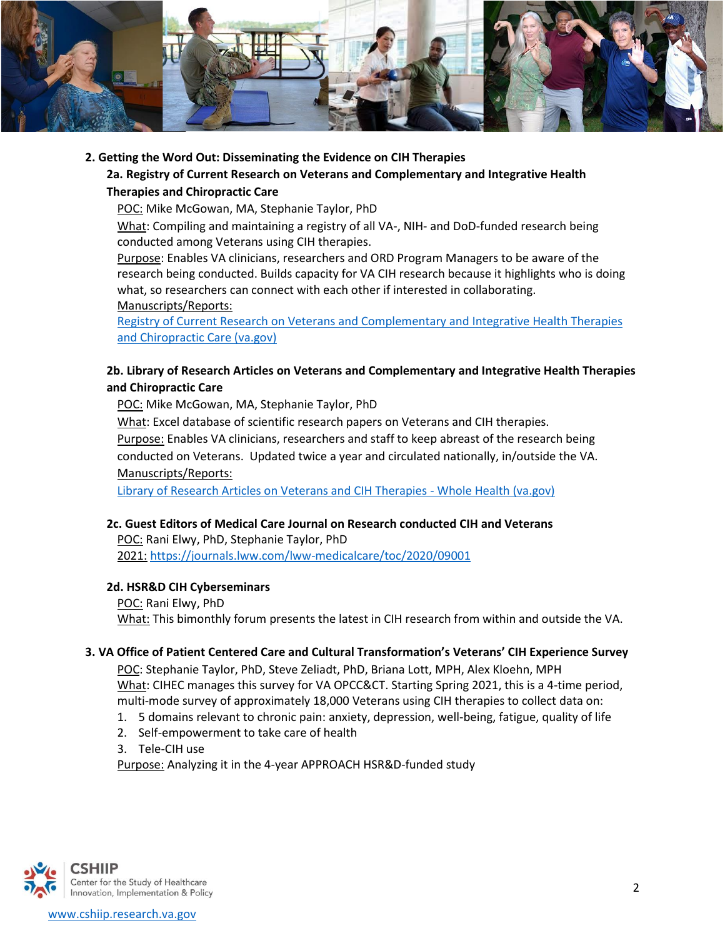

## **2. Getting the Word Out: Disseminating the Evidence on CIH Therapies**

# **2a. Registry of Current Research on Veterans and Complementary and Integrative Health Therapies and Chiropractic Care**

POC: Mike McGowan, MA, Stephanie Taylor, PhD

What: Compiling and maintaining a registry of all VA-, NIH- and DoD-funded research being conducted among Veterans using CIH therapies.

Purpose: Enables VA clinicians, researchers and ORD Program Managers to be aware of the research being conducted. Builds capacity for VA CIH research because it highlights who is doing what, so researchers can connect with each other if interested in collaborating. Manuscripts/Reports:

[Registry of Current Research on Veterans and Complementary and Integrative Health Therapies](https://www.va.gov/WHOLEHEALTH/docs/QUERI_CIHEC_CIH_Research_Registry_2021_FINAL.pdf)  [and Chiropractic Care \(va.gov\)](https://www.va.gov/WHOLEHEALTH/docs/QUERI_CIHEC_CIH_Research_Registry_2021_FINAL.pdf)

## **2b. Library of Research Articles on Veterans and Complementary and Integrative Health Therapies and Chiropractic Care**

POC: Mike McGowan, MA, Stephanie Taylor, PhD

What: Excel database of scientific research papers on Veterans and CIH therapies.

Purpose: Enables VA clinicians, researchers and staff to keep abreast of the research being conducted on Veterans. Updated twice a year and circulated nationally, in/outside the VA. Manuscripts/Reports:

[Library of Research Articles on Veterans and CIH Therapies -](https://www.va.gov/WHOLEHEALTH/professional-resources/clinician-tools/library-research-articles/index.asp) Whole Health (va.gov)

## **2c. Guest Editors of Medical Care Journal on Research conducted CIH and Veterans**

POC: Rani Elwy, PhD, Stephanie Taylor, PhD 2021: <https://journals.lww.com/lww-medicalcare/toc/2020/09001>

#### **2d. HSR&D CIH Cyberseminars**

POC: Rani Elwy, PhD What: This bimonthly forum presents the latest in CIH research from within and outside the VA.

#### **3. VA Office of Patient Centered Care and Cultural Transformation's Veterans' CIH Experience Survey**

POC: Stephanie Taylor, PhD, Steve Zeliadt, PhD, Briana Lott, MPH, Alex Kloehn, MPH What: CIHEC manages this survey for VA OPCC&CT. Starting Spring 2021, this is a 4-time period, multi-mode survey of approximately 18,000 Veterans using CIH therapies to collect data on:

- 1. 5 domains relevant to chronic pain: anxiety, depression, well-being, fatigue, quality of life
- 2. Self-empowerment to take care of health
- 3. Tele-CIH use

Purpose: Analyzing it in the 4-year APPROACH HSR&D-funded study

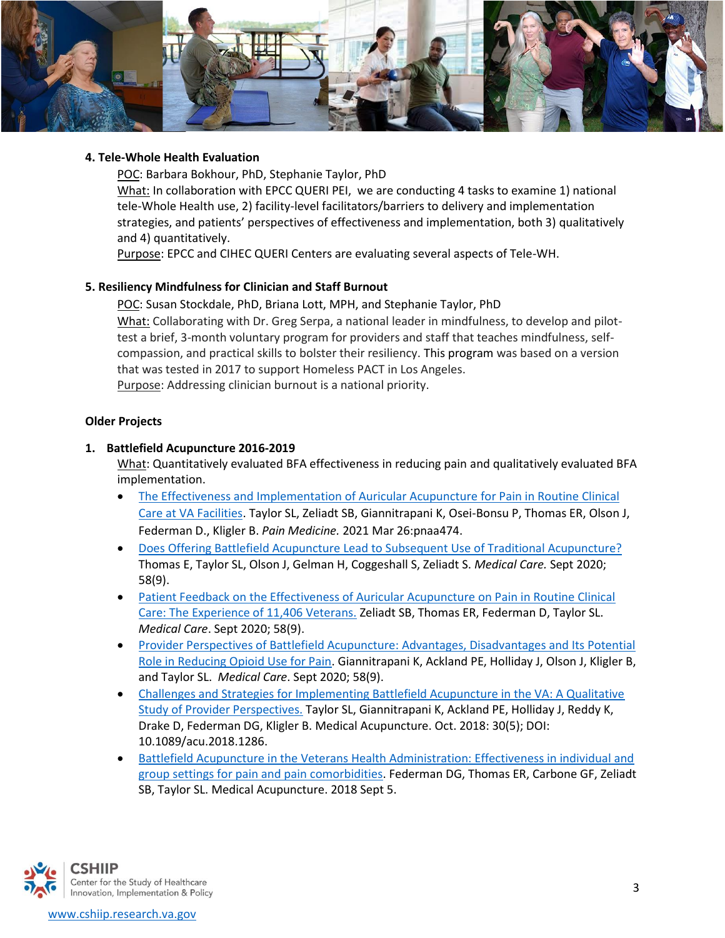

### **4. Tele-Whole Health Evaluation**

POC: Barbara Bokhour, PhD, Stephanie Taylor, PhD What: In collaboration with EPCC QUERI PEI, we are conducting 4 tasks to examine 1) national tele-Whole Health use, 2) facility-level facilitators/barriers to delivery and implementation strategies, and patients' perspectives of effectiveness and implementation, both 3) qualitatively and 4) quantitatively.

Purpose: EPCC and CIHEC QUERI Centers are evaluating several aspects of Tele-WH.

## **5. Resiliency Mindfulness for Clinician and Staff Burnout**

POC: Susan Stockdale, PhD, Briana Lott, MPH, and Stephanie Taylor, PhD What: Collaborating with Dr. Greg Serpa, a national leader in mindfulness, to develop and pilottest a brief, 3-month voluntary program for providers and staff that teaches mindfulness, selfcompassion, and practical skills to bolster their resiliency. This program was based on a version that was tested in 2017 to support Homeless PACT in Los Angeles. Purpose: Addressing clinician burnout is a national priority.

## **Older Projects**

## **1. Battlefield Acupuncture 2016-2019**

What: Quantitatively evaluated BFA effectiveness in reducing pain and qualitatively evaluated BFA implementation.

- [The Effectiveness and Implementation of Auricular Acupuncture for Pain in Routine Clinical](https://pubmed.ncbi.nlm.nih.gov/33769534/)  [Care at VA Facilities.](https://pubmed.ncbi.nlm.nih.gov/33769534/) Taylor SL, Zeliadt SB, Giannitrapani K, Osei-Bonsu P, Thomas ER, Olson J, Federman D., Kligler B. *Pain Medicine.* 2021 Mar 26:pnaa474.
- [Does Offering Battlefield Acupuncture Lead to Subsequent Use of Traditional Acupuncture?](https://pubmed.ncbi.nlm.nih.gov/32826780/) Thomas E, Taylor SL, Olson J, Gelman H, Coggeshall S, Zeliadt S. *Medical Care.* Sept 2020; 58(9).
- [Patient Feedback on the Effectiveness of Auricular Acupuncture on Pain in Routine Clinical](https://pubmed.ncbi.nlm.nih.gov/32826779/)  [Care: The Experience of 11,406 Veterans.](https://pubmed.ncbi.nlm.nih.gov/32826779/) Zeliadt SB, Thomas ER, Federman D, Taylor SL. *Medical Care*. Sept 2020; 58(9).
- [Provider Perspectives of Battlefield Acupuncture: Advantages, Disadvantages and Its Potential](https://pubmed.ncbi.nlm.nih.gov/32826777/)  [Role in Reducing Opioid Use for Pain.](https://pubmed.ncbi.nlm.nih.gov/32826777/) Giannitrapani K, Ackland PE, Holliday J, Olson J, Kligler B, and Taylor SL. *Medical Care*. Sept 2020; 58(9).
- [Challenges and Strategies for Implementing Battlefield Acupuncture in the VA: A Qualitative](https://www.ncbi.nlm.nih.gov/pmc/articles/PMC6205764/)  [Study of Provider Perspectives.](https://www.ncbi.nlm.nih.gov/pmc/articles/PMC6205764/) Taylor SL, Giannitrapani K, Ackland PE, Holliday J, Reddy K, Drake D, Federman DG, Kligler B. Medical Acupuncture. Oct. 2018: 30(5); DOI: 10.1089/acu.2018.1286.
- [Battlefield Acupuncture in the Veterans Health Administration: Effectiveness in individual and](https://www.ncbi.nlm.nih.gov/pmc/articles/PMC6205767/)  [group settings for pain and pain comorbidities.](https://www.ncbi.nlm.nih.gov/pmc/articles/PMC6205767/) Federman DG, Thomas ER, Carbone GF, Zeliadt SB, Taylor SL. Medical Acupuncture. 2018 Sept 5.